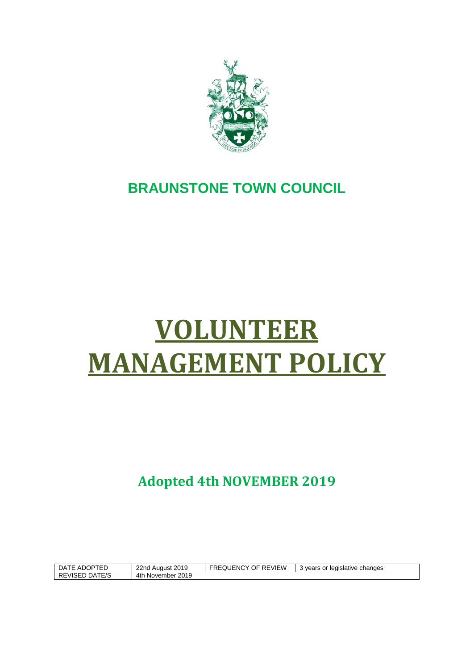

## **BRAUNSTONE TOWN COUNCIL**

# **VOLUNTEER MANAGEMENT POLICY**

## **Adopted 4th NOVEMBER 2019**

| $\sim$<br>DA.<br>ADOI<br>┕ | 2019<br>22 <sub>nd</sub><br>Auaust | <b>REVIEW</b><br>J⊦<br><b>FREQUENC.</b> | changes<br>legislative<br>vears<br>or<br>u |
|----------------------------|------------------------------------|-----------------------------------------|--------------------------------------------|
| ATE/S<br>REVISED<br>DΑ     | 2019<br>4tł<br>November            |                                         |                                            |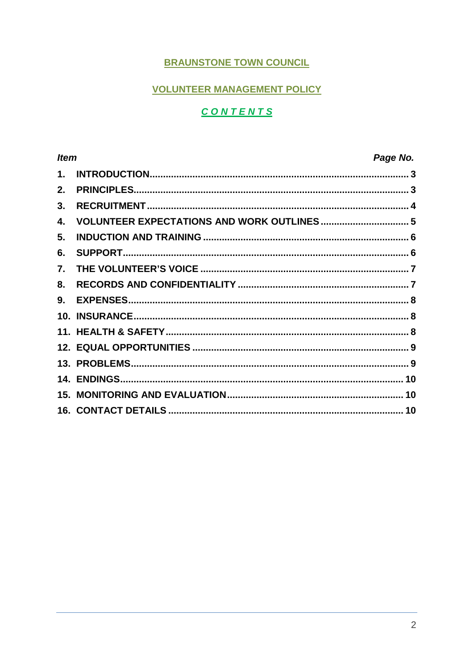#### **BRAUNSTONE TOWN COUNCIL**

#### **VOLUNTEER MANAGEMENT POLICY**

### CONTENTS

| <b>Item</b>      |                                            | Page No. |
|------------------|--------------------------------------------|----------|
| 1.               |                                            |          |
| 2.               |                                            |          |
| 3.               |                                            |          |
| 4.               | VOLUNTEER EXPECTATIONS AND WORK OUTLINES 5 |          |
| 5.               |                                            |          |
| 6.               |                                            |          |
| $\overline{7}$ . |                                            |          |
| 8.               |                                            |          |
| 9.               |                                            |          |
|                  |                                            |          |
|                  |                                            |          |
|                  |                                            |          |
|                  |                                            |          |
|                  |                                            |          |
|                  |                                            |          |
|                  |                                            |          |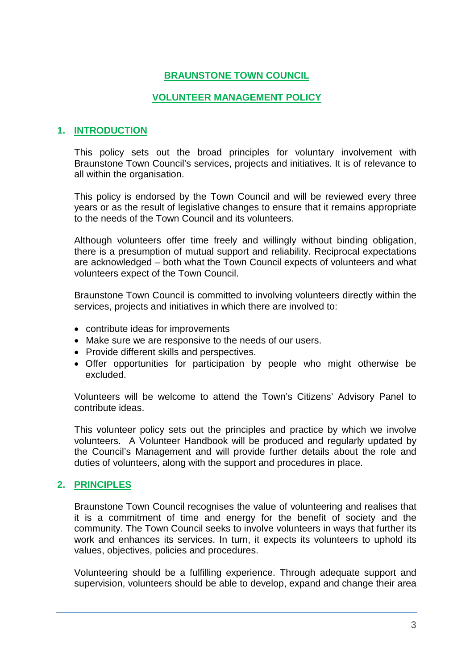#### **BRAUNSTONE TOWN COUNCIL**

#### **VOLUNTEER MANAGEMENT POLICY**

#### <span id="page-2-0"></span>**1. INTRODUCTION**

This policy sets out the broad principles for voluntary involvement with Braunstone Town Council's services, projects and initiatives. It is of relevance to all within the organisation.

This policy is endorsed by the Town Council and will be reviewed every three years or as the result of legislative changes to ensure that it remains appropriate to the needs of the Town Council and its volunteers.

Although volunteers offer time freely and willingly without binding obligation, there is a presumption of mutual support and reliability. Reciprocal expectations are acknowledged – both what the Town Council expects of volunteers and what volunteers expect of the Town Council.

Braunstone Town Council is committed to involving volunteers directly within the services, projects and initiatives in which there are involved to:

- contribute ideas for improvements
- Make sure we are responsive to the needs of our users.
- Provide different skills and perspectives.
- Offer opportunities for participation by people who might otherwise be excluded.

Volunteers will be welcome to attend the Town's Citizens' Advisory Panel to contribute ideas.

This volunteer policy sets out the principles and practice by which we involve volunteers. A Volunteer Handbook will be produced and regularly updated by the Council's Management and will provide further details about the role and duties of volunteers, along with the support and procedures in place.

#### <span id="page-2-1"></span>**2. PRINCIPLES**

Braunstone Town Council recognises the value of volunteering and realises that it is a commitment of time and energy for the benefit of society and the community. The Town Council seeks to involve volunteers in ways that further its work and enhances its services. In turn, it expects its volunteers to uphold its values, objectives, policies and procedures.

Volunteering should be a fulfilling experience. Through adequate support and supervision, volunteers should be able to develop, expand and change their area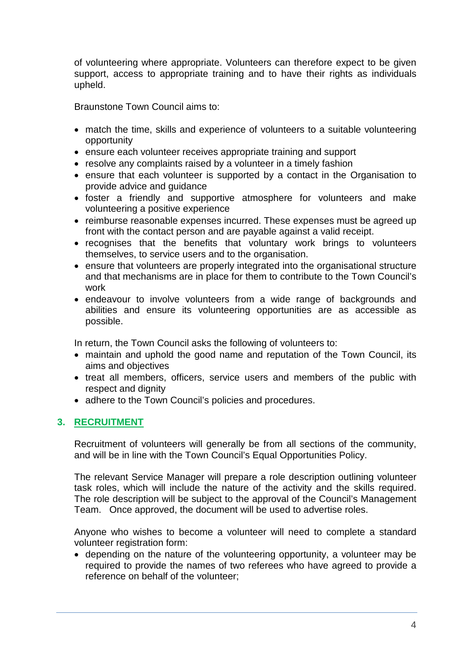of volunteering where appropriate. Volunteers can therefore expect to be given support, access to appropriate training and to have their rights as individuals upheld.

Braunstone Town Council aims to:

- match the time, skills and experience of volunteers to a suitable volunteering opportunity
- ensure each volunteer receives appropriate training and support
- resolve any complaints raised by a volunteer in a timely fashion
- ensure that each volunteer is supported by a contact in the Organisation to provide advice and guidance
- foster a friendly and supportive atmosphere for volunteers and make volunteering a positive experience
- reimburse reasonable expenses incurred. These expenses must be agreed up front with the contact person and are payable against a valid receipt.
- recognises that the benefits that voluntary work brings to volunteers themselves, to service users and to the organisation.
- ensure that volunteers are properly integrated into the organisational structure and that mechanisms are in place for them to contribute to the Town Council's work
- endeavour to involve volunteers from a wide range of backgrounds and abilities and ensure its volunteering opportunities are as accessible as possible.

In return, the Town Council asks the following of volunteers to:

- maintain and uphold the good name and reputation of the Town Council, its aims and objectives
- treat all members, officers, service users and members of the public with respect and dignity
- adhere to the Town Council's policies and procedures.

#### <span id="page-3-0"></span>**3. RECRUITMENT**

Recruitment of volunteers will generally be from all sections of the community, and will be in line with the Town Council's Equal Opportunities Policy.

The relevant Service Manager will prepare a role description outlining volunteer task roles, which will include the nature of the activity and the skills required. The role description will be subject to the approval of the Council's Management Team. Once approved, the document will be used to advertise roles.

Anyone who wishes to become a volunteer will need to complete a standard volunteer registration form:

• depending on the nature of the volunteering opportunity, a volunteer may be required to provide the names of two referees who have agreed to provide a reference on behalf of the volunteer;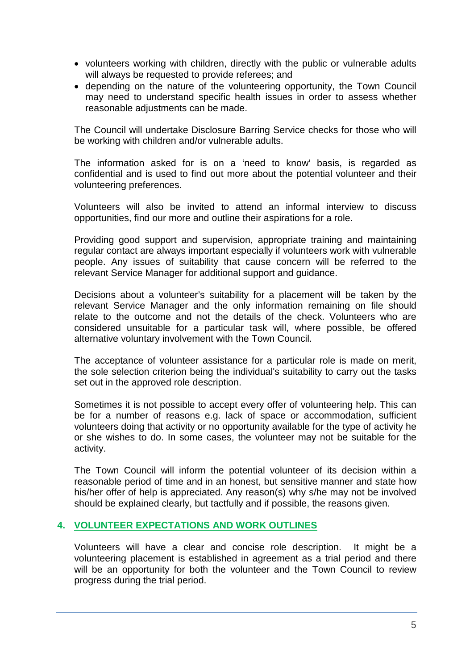- volunteers working with children, directly with the public or vulnerable adults will always be requested to provide referees; and
- depending on the nature of the volunteering opportunity, the Town Council may need to understand specific health issues in order to assess whether reasonable adjustments can be made.

The Council will undertake Disclosure Barring Service checks for those who will be working with children and/or vulnerable adults.

The information asked for is on a 'need to know' basis, is regarded as confidential and is used to find out more about the potential volunteer and their volunteering preferences.

Volunteers will also be invited to attend an informal interview to discuss opportunities, find our more and outline their aspirations for a role.

Providing good support and supervision, appropriate training and maintaining regular contact are always important especially if volunteers work with vulnerable people. Any issues of suitability that cause concern will be referred to the relevant Service Manager for additional support and guidance.

Decisions about a volunteer's suitability for a placement will be taken by the relevant Service Manager and the only information remaining on file should relate to the outcome and not the details of the check. Volunteers who are considered unsuitable for a particular task will, where possible, be offered alternative voluntary involvement with the Town Council.

The acceptance of volunteer assistance for a particular role is made on merit, the sole selection criterion being the individual's suitability to carry out the tasks set out in the approved role description.

Sometimes it is not possible to accept every offer of volunteering help. This can be for a number of reasons e.g. lack of space or accommodation, sufficient volunteers doing that activity or no opportunity available for the type of activity he or she wishes to do. In some cases, the volunteer may not be suitable for the activity.

The Town Council will inform the potential volunteer of its decision within a reasonable period of time and in an honest, but sensitive manner and state how his/her offer of help is appreciated. Any reason(s) why s/he may not be involved should be explained clearly, but tactfully and if possible, the reasons given.

#### <span id="page-4-0"></span>**4. VOLUNTEER EXPECTATIONS AND WORK OUTLINES**

Volunteers will have a clear and concise role description. It might be a volunteering placement is established in agreement as a trial period and there will be an opportunity for both the volunteer and the Town Council to review progress during the trial period.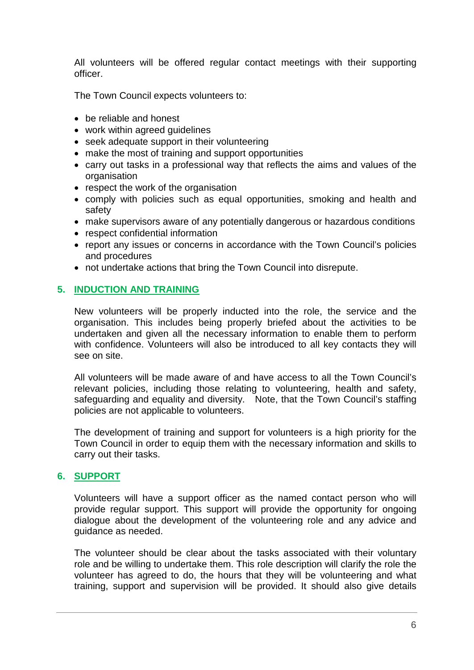All volunteers will be offered regular contact meetings with their supporting officer.

The Town Council expects volunteers to:

- be reliable and honest
- work within agreed guidelines
- seek adequate support in their volunteering
- make the most of training and support opportunities
- carry out tasks in a professional way that reflects the aims and values of the organisation
- respect the work of the organisation
- comply with policies such as equal opportunities, smoking and health and safety
- make supervisors aware of any potentially dangerous or hazardous conditions
- respect confidential information
- report any issues or concerns in accordance with the Town Council's policies and procedures
- not undertake actions that bring the Town Council into disrepute.

#### <span id="page-5-0"></span>**5. INDUCTION AND TRAINING**

New volunteers will be properly inducted into the role, the service and the organisation. This includes being properly briefed about the activities to be undertaken and given all the necessary information to enable them to perform with confidence. Volunteers will also be introduced to all key contacts they will see on site.

All volunteers will be made aware of and have access to all the Town Council's relevant policies, including those relating to volunteering, health and safety, safeguarding and equality and diversity. Note, that the Town Council's staffing policies are not applicable to volunteers.

The development of training and support for volunteers is a high priority for the Town Council in order to equip them with the necessary information and skills to carry out their tasks.

#### <span id="page-5-1"></span>**6. SUPPORT**

Volunteers will have a support officer as the named contact person who will provide regular support. This support will provide the opportunity for ongoing dialogue about the development of the volunteering role and any advice and guidance as needed.

The volunteer should be clear about the tasks associated with their voluntary role and be willing to undertake them. This role description will clarify the role the volunteer has agreed to do, the hours that they will be volunteering and what training, support and supervision will be provided. It should also give details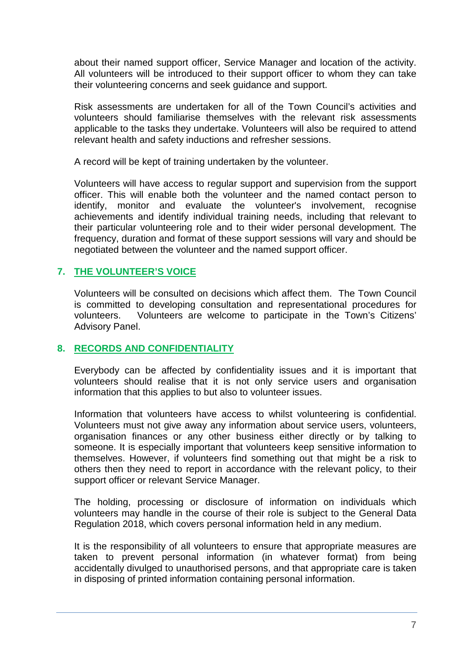about their named support officer, Service Manager and location of the activity. All volunteers will be introduced to their support officer to whom they can take their volunteering concerns and seek guidance and support.

Risk assessments are undertaken for all of the Town Council's activities and volunteers should familiarise themselves with the relevant risk assessments applicable to the tasks they undertake. Volunteers will also be required to attend relevant health and safety inductions and refresher sessions.

A record will be kept of training undertaken by the volunteer.

Volunteers will have access to regular support and supervision from the support officer. This will enable both the volunteer and the named contact person to identify, monitor and evaluate the volunteer's involvement, recognise achievements and identify individual training needs, including that relevant to their particular volunteering role and to their wider personal development. The frequency, duration and format of these support sessions will vary and should be negotiated between the volunteer and the named support officer.

#### <span id="page-6-0"></span>**7. THE VOLUNTEER'S VOICE**

Volunteers will be consulted on decisions which affect them. The Town Council is committed to developing consultation and representational procedures for volunteers. Volunteers are welcome to participate in the Town's Citizens' Advisory Panel.

#### <span id="page-6-1"></span>**8. RECORDS AND CONFIDENTIALITY**

Everybody can be affected by confidentiality issues and it is important that volunteers should realise that it is not only service users and organisation information that this applies to but also to volunteer issues.

Information that volunteers have access to whilst volunteering is confidential. Volunteers must not give away any information about service users, volunteers, organisation finances or any other business either directly or by talking to someone. It is especially important that volunteers keep sensitive information to themselves. However, if volunteers find something out that might be a risk to others then they need to report in accordance with the relevant policy, to their support officer or relevant Service Manager.

The holding, processing or disclosure of information on individuals which volunteers may handle in the course of their role is subject to the General Data Regulation 2018, which covers personal information held in any medium.

It is the responsibility of all volunteers to ensure that appropriate measures are taken to prevent personal information (in whatever format) from being accidentally divulged to unauthorised persons, and that appropriate care is taken in disposing of printed information containing personal information.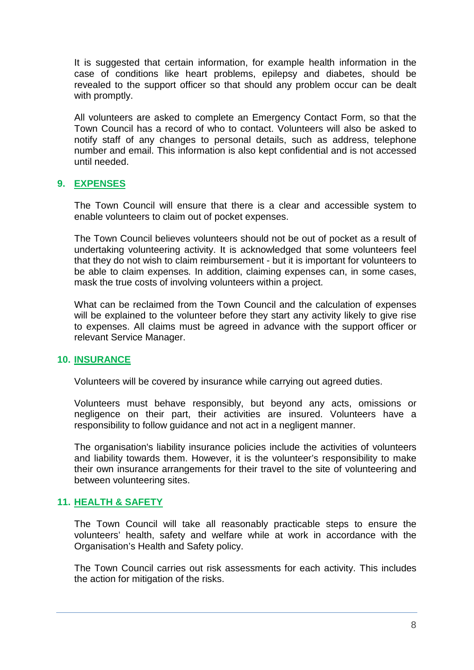It is suggested that certain information, for example health information in the case of conditions like heart problems, epilepsy and diabetes, should be revealed to the support officer so that should any problem occur can be dealt with promptly.

All volunteers are asked to complete an Emergency Contact Form, so that the Town Council has a record of who to contact. Volunteers will also be asked to notify staff of any changes to personal details, such as address, telephone number and email. This information is also kept confidential and is not accessed until needed.

#### <span id="page-7-0"></span>**9. EXPENSES**

The Town Council will ensure that there is a clear and accessible system to enable volunteers to claim out of pocket expenses.

The Town Council believes volunteers should not be out of pocket as a result of undertaking volunteering activity. It is acknowledged that some volunteers feel that they do not wish to claim reimbursement - but it is important for volunteers to be able to claim expenses*.* In addition, claiming expenses can, in some cases, mask the true costs of involving volunteers within a project.

What can be reclaimed from the Town Council and the calculation of expenses will be explained to the volunteer before they start any activity likely to give rise to expenses. All claims must be agreed in advance with the support officer or relevant Service Manager.

#### <span id="page-7-1"></span>**10. INSURANCE**

Volunteers will be covered by insurance while carrying out agreed duties.

Volunteers must behave responsibly, but beyond any acts, omissions or negligence on their part, their activities are insured. Volunteers have a responsibility to follow guidance and not act in a negligent manner.

The organisation's liability insurance policies include the activities of volunteers and liability towards them. However, it is the volunteer's responsibility to make their own insurance arrangements for their travel to the site of volunteering and between volunteering sites.

#### <span id="page-7-2"></span>**11. HEALTH & SAFETY**

The Town Council will take all reasonably practicable steps to ensure the volunteers' health, safety and welfare while at work in accordance with the Organisation's Health and Safety policy.

The Town Council carries out risk assessments for each activity. This includes the action for mitigation of the risks.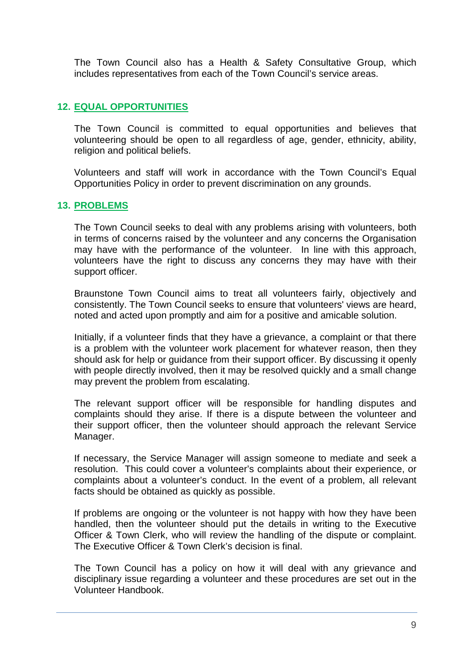The Town Council also has a Health & Safety Consultative Group, which includes representatives from each of the Town Council's service areas.

#### <span id="page-8-0"></span>**12. EQUAL OPPORTUNITIES**

The Town Council is committed to equal opportunities and believes that volunteering should be open to all regardless of age, gender, ethnicity, ability, religion and political beliefs.

Volunteers and staff will work in accordance with the Town Council's Equal Opportunities Policy in order to prevent discrimination on any grounds.

#### <span id="page-8-1"></span>**13. PROBLEMS**

The Town Council seeks to deal with any problems arising with volunteers, both in terms of concerns raised by the volunteer and any concerns the Organisation may have with the performance of the volunteer. In line with this approach, volunteers have the right to discuss any concerns they may have with their support officer.

Braunstone Town Council aims to treat all volunteers fairly, objectively and consistently. The Town Council seeks to ensure that volunteers' views are heard, noted and acted upon promptly and aim for a positive and amicable solution.

Initially, if a volunteer finds that they have a grievance, a complaint or that there is a problem with the volunteer work placement for whatever reason, then they should ask for help or guidance from their support officer. By discussing it openly with people directly involved, then it may be resolved quickly and a small change may prevent the problem from escalating.

The relevant support officer will be responsible for handling disputes and complaints should they arise. If there is a dispute between the volunteer and their support officer, then the volunteer should approach the relevant Service Manager.

If necessary, the Service Manager will assign someone to mediate and seek a resolution. This could cover a volunteer's complaints about their experience, or complaints about a volunteer's conduct. In the event of a problem, all relevant facts should be obtained as quickly as possible.

If problems are ongoing or the volunteer is not happy with how they have been handled, then the volunteer should put the details in writing to the Executive Officer & Town Clerk, who will review the handling of the dispute or complaint. The Executive Officer & Town Clerk's decision is final.

The Town Council has a policy on how it will deal with any grievance and disciplinary issue regarding a volunteer and these procedures are set out in the Volunteer Handbook.